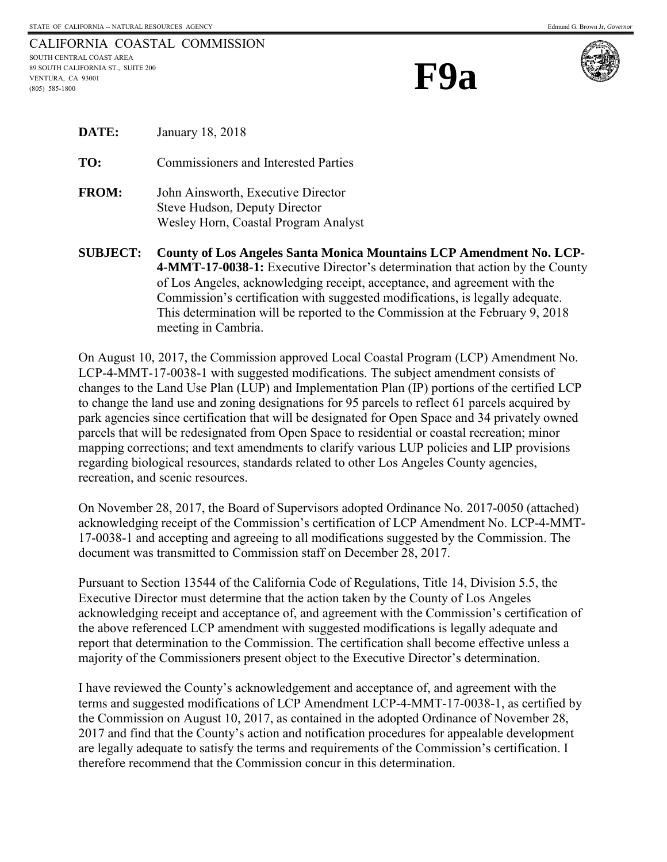**F9a**



| <b>DATE:</b> | January 18, 2018                                                                                            |
|--------------|-------------------------------------------------------------------------------------------------------------|
| TO:          | <b>Commissioners and Interested Parties</b>                                                                 |
| <b>FROM:</b> | John Ainsworth, Executive Director<br>Steve Hudson, Deputy Director<br>Wesley Horn, Coastal Program Analyst |

**SUBJECT: County of Los Angeles Santa Monica Mountains LCP Amendment No. LCP-4-MMT-17-0038-1:** Executive Director's determination that action by the County of Los Angeles, acknowledging receipt, acceptance, and agreement with the Commission's certification with suggested modifications, is legally adequate. This determination will be reported to the Commission at the February 9, 2018 meeting in Cambria.

On August 10, 2017, the Commission approved Local Coastal Program (LCP) Amendment No. LCP-4-MMT-17-0038-1 with suggested modifications. The subject amendment consists of changes to the Land Use Plan (LUP) and Implementation Plan (IP) portions of the certified LCP to change the land use and zoning designations for 95 parcels to reflect 61 parcels acquired by park agencies since certification that will be designated for Open Space and 34 privately owned parcels that will be redesignated from Open Space to residential or coastal recreation; minor mapping corrections; and text amendments to clarify various LUP policies and LIP provisions regarding biological resources, standards related to other Los Angeles County agencies, recreation, and scenic resources.

On November 28, 2017, the Board of Supervisors adopted Ordinance No. 2017-0050 (attached) acknowledging receipt of the Commission's certification of LCP Amendment No. LCP-4-MMT-17-0038-1 and accepting and agreeing to all modifications suggested by the Commission. The document was transmitted to Commission staff on December 28, 2017.

Pursuant to Section 13544 of the California Code of Regulations, Title 14, Division 5.5, the Executive Director must determine that the action taken by the County of Los Angeles acknowledging receipt and acceptance of, and agreement with the Commission's certification of the above referenced LCP amendment with suggested modifications is legally adequate and report that determination to the Commission. The certification shall become effective unless a majority of the Commissioners present object to the Executive Director's determination.

I have reviewed the County's acknowledgement and acceptance of, and agreement with the terms and suggested modifications of LCP Amendment LCP-4-MMT-17-0038-1, as certified by the Commission on August 10, 2017, as contained in the adopted Ordinance of November 28, 2017 and find that the County's action and notification procedures for appealable development are legally adequate to satisfy the terms and requirements of the Commission's certification. I therefore recommend that the Commission concur in this determination.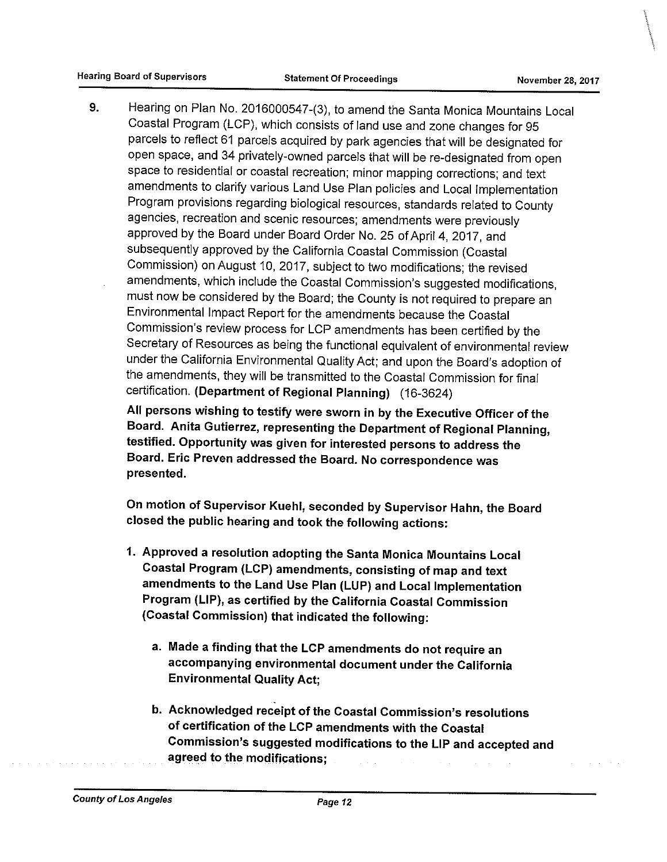9. Hearing on Plan No. 2016000547-(3), to amend the Santa Monica Mountains Local Coastal Program (LCP), which consists of land use and zone changes for 95 parcels to reflect 61 parcels acquired by park agencies that will be designated for open space, and 34 privately-owned parcels that will be re-designated from open space to residential or coastal recreation; minor mapping corrections; and text amendments to clarify various Land Use Plan policies and Local Implementation Program provisions regarding biological resources, standards related to County agencies, recreation and scenic resources; amendments were previously approved by the Board under Board Order No. 25 of April 4, 2017, and subsequently approved by the California Coastal Commission (Coastal Commission) on August 10, 2017, subject to two modifications; the revised amendments, which include the Coastal Commission's suggested modifications, must now be considered by the Board; the County is not required to prepare an Environmental Impact Report for the amendments because the Coastal Commission's review process for LCP amendments has been certified by the Secretary of Resources as being the functional equivalent of environmental review under the California Environmental Quality Act; and upon the Board's adoption of the amendments, they will be transmitted to the Coastal Commission for final certification. (Department of Regional Planning) (16-3624)

All persons wishing to testify were sworn in by the Executive Officer of the Board. Anita Gutierrez, representing the Department of Regional Planning, testified. Opportunity was given for interested persons to address the Board. Eric Preven addressed the Board. No correspondence was presented.

On motion of Supervisor Kuehl, seconded by Supervisor Hahn, the Board closed the public hearing and took the following actions:

- 1. Approved a resolution adopting the Santa Monica Mountains Local Coastal Program (LCP) amendments, consisting of map and text amendments to the Land Use Plan (LUP) and Local Implementation Program (LIP), as certified by the California Coastal Commission (Coastal Commission) that indicated the following:
	- a. Made a finding that the LCP amendments do not require an accompanying environmental document under the California **Environmental Quality Act;**
	- b. Acknowledged receipt of the Coastal Commission's resolutions of certification of the LCP amendments with the Coastal Commission's suggested modifications to the LIP and accepted and agreed to the modifications: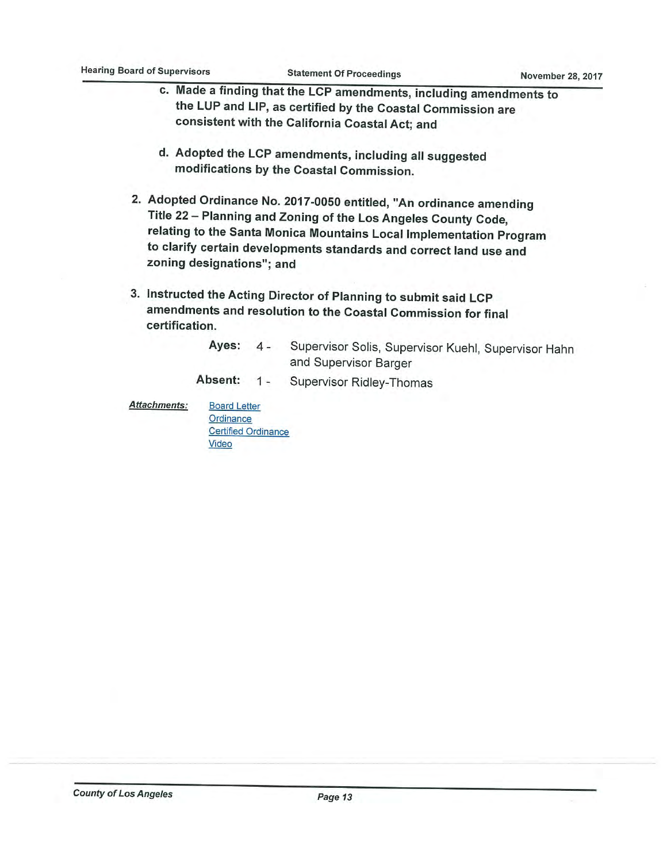- c. Made a finding that the LCP amendments, including amendments to the LUP and LIP, as certified by the Coastal Commission are consistent with the California Coastal Act; and
- d. Adopted the LCP amendments, including all suggested modifications by the Coastal Commission.
- 2. Adopted Ordinance No. 2017-0050 entitled, "An ordinance amending Title 22 - Planning and Zoning of the Los Angeles County Code, relating to the Santa Monica Mountains Local Implementation Program to clarify certain developments standards and correct land use and zoning designations"; and
- 3. Instructed the Acting Director of Planning to submit said LCP amendments and resolution to the Coastal Commission for final certification.
	- Supervisor Solis, Supervisor Kuehl, Supervisor Hahn Ayes:  $4$ and Supervisor Barger
	- Absent: Supervisor Ridley-Thomas  $1 -$

**Attachments:** 

Ordinance **Certified Ordinance** Video

**Board Letter**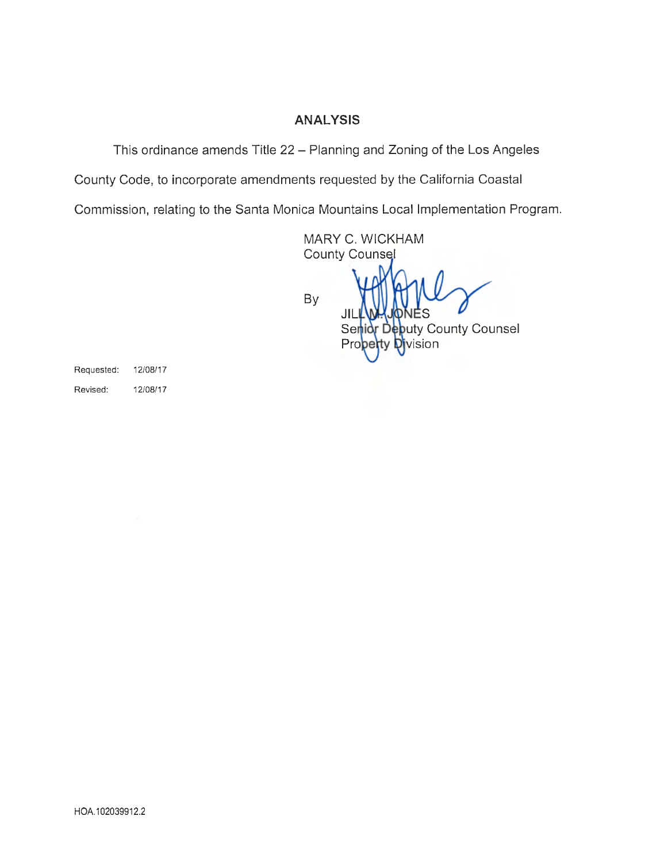## ANALYSIS

This ordinance amends Title 22 —Planning and Zoning of the Los Angeles

County Code, to incorporate amendments requested by the California Coastal

Commission, relating to the Santa Monica Mountains Local Implementation Program.

MARY C. WICKHAM**County Counsel** 

**By** 

JI

Senidy Debuty County Counsel vision Prc

Requested: 12/08/17 Revised: 12/08/17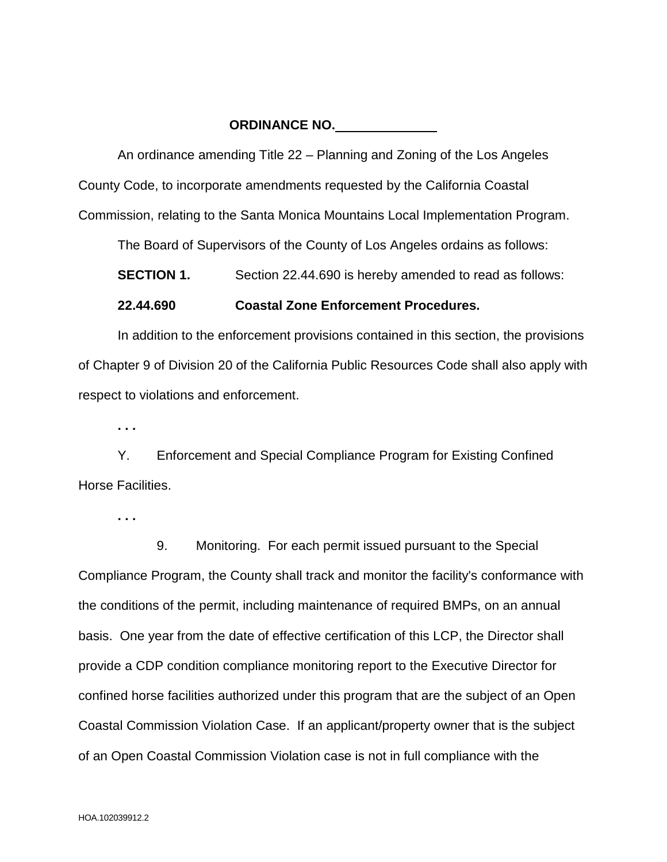## **ORDINANCE NO.**

An ordinance amending Title 22 – Planning and Zoning of the Los Angeles County Code, to incorporate amendments requested by the California Coastal Commission, relating to the Santa Monica Mountains Local Implementation Program.

The Board of Supervisors of the County of Los Angeles ordains as follows:

**SECTION 1.** Section 22.44.690 is hereby amended to read as follows:

## **22.44.690 Coastal Zone Enforcement Procedures.**

In addition to the enforcement provisions contained in this section, the provisions of Chapter 9 of Division 20 of the California Public Resources Code shall also apply with respect to violations and enforcement.

**. . .**

Y. Enforcement and Special Compliance Program for Existing Confined Horse Facilities.

**. . .** 

 9. Monitoring. For each permit issued pursuant to the Special Compliance Program, the County shall track and monitor the facility's conformance with the conditions of the permit, including maintenance of required BMPs, on an annual basis. One year from the date of effective certification of this LCP, the Director shall provide a CDP condition compliance monitoring report to the Executive Director for confined horse facilities authorized under this program that are the subject of an Open Coastal Commission Violation Case. If an applicant/property owner that is the subject of an Open Coastal Commission Violation case is not in full compliance with the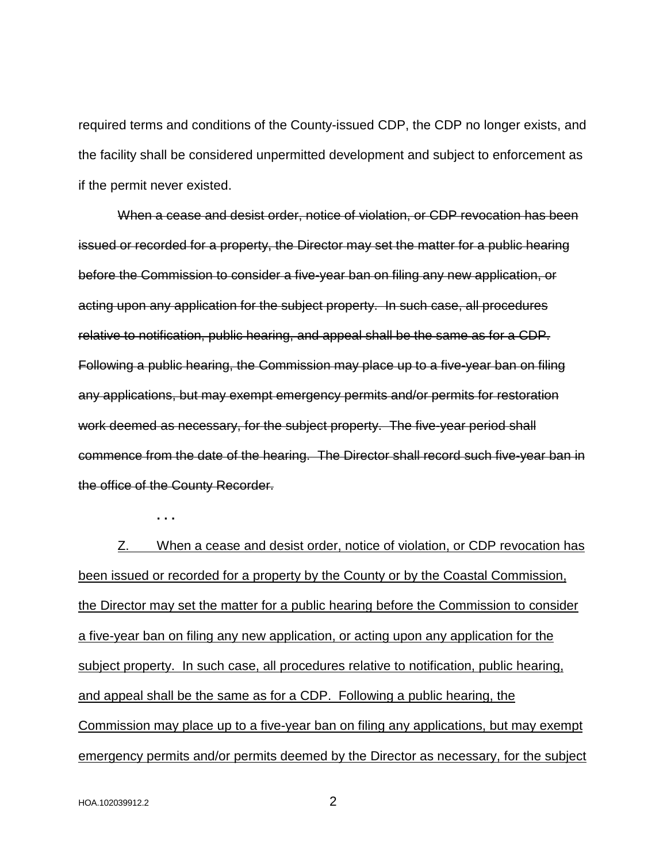required terms and conditions of the County-issued CDP, the CDP no longer exists, and the facility shall be considered unpermitted development and subject to enforcement as if the permit never existed.

When a cease and desist order, notice of violation, or CDP revocation has been issued or recorded for a property, the Director may set the matter for a public hearing before the Commission to consider a five-year ban on filing any new application, or acting upon any application for the subject property. In such case, all procedures relative to notification, public hearing, and appeal shall be the same as for a CDP. Following a public hearing, the Commission may place up to a five-year ban on filing any applications, but may exempt emergency permits and/or permits for restoration work deemed as necessary, for the subject property. The five-year period shall commence from the date of the hearing. The Director shall record such five-year ban in the office of the County Recorder.

**. . .** 

Z. When a cease and desist order, notice of violation, or CDP revocation has been issued or recorded for a property by the County or by the Coastal Commission, the Director may set the matter for a public hearing before the Commission to consider a five-year ban on filing any new application, or acting upon any application for the subject property. In such case, all procedures relative to notification, public hearing, and appeal shall be the same as for a CDP. Following a public hearing, the Commission may place up to a five-year ban on filing any applications, but may exempt emergency permits and/or permits deemed by the Director as necessary, for the subject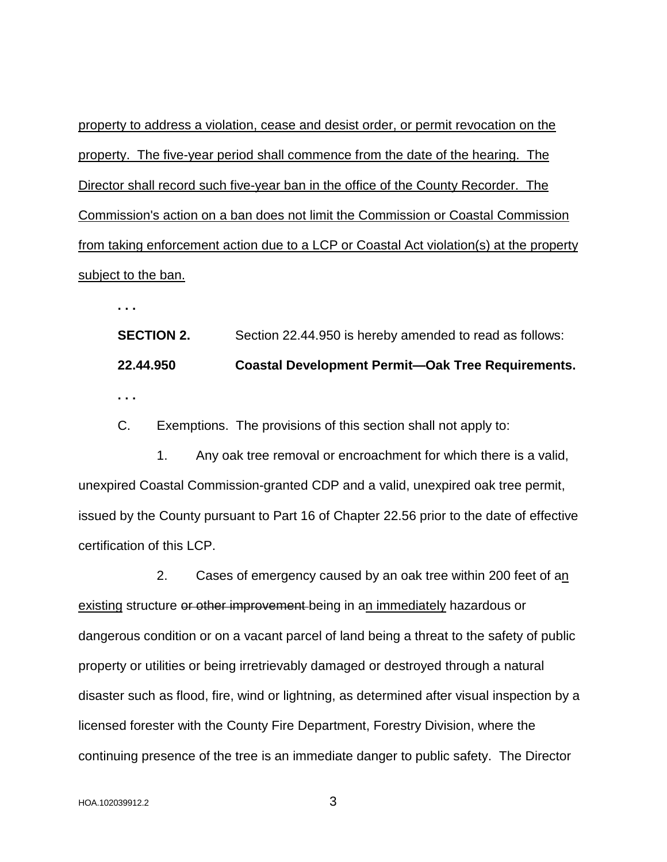property to address a violation, cease and desist order, or permit revocation on the property. The five-year period shall commence from the date of the hearing. The Director shall record such five-year ban in the office of the County Recorder. The Commission's action on a ban does not limit the Commission or Coastal Commission from taking enforcement action due to a LCP or Coastal Act violation(s) at the property subject to the ban.

**. . .**

**SECTION 2.** Section 22.44.950 is hereby amended to read as follows: **22.44.950 Coastal Development Permit—Oak Tree Requirements. . . .**

C. Exemptions. The provisions of this section shall not apply to:

 1. Any oak tree removal or encroachment for which there is a valid, unexpired Coastal Commission-granted CDP and a valid, unexpired oak tree permit, issued by the County pursuant to Part 16 of Chapter 22.56 prior to the date of effective certification of this LCP.

 2. Cases of emergency caused by an oak tree within 200 feet of an existing structure or other improvement being in an immediately hazardous or dangerous condition or on a vacant parcel of land being a threat to the safety of public property or utilities or being irretrievably damaged or destroyed through a natural disaster such as flood, fire, wind or lightning, as determined after visual inspection by a licensed forester with the County Fire Department, Forestry Division, where the continuing presence of the tree is an immediate danger to public safety. The Director